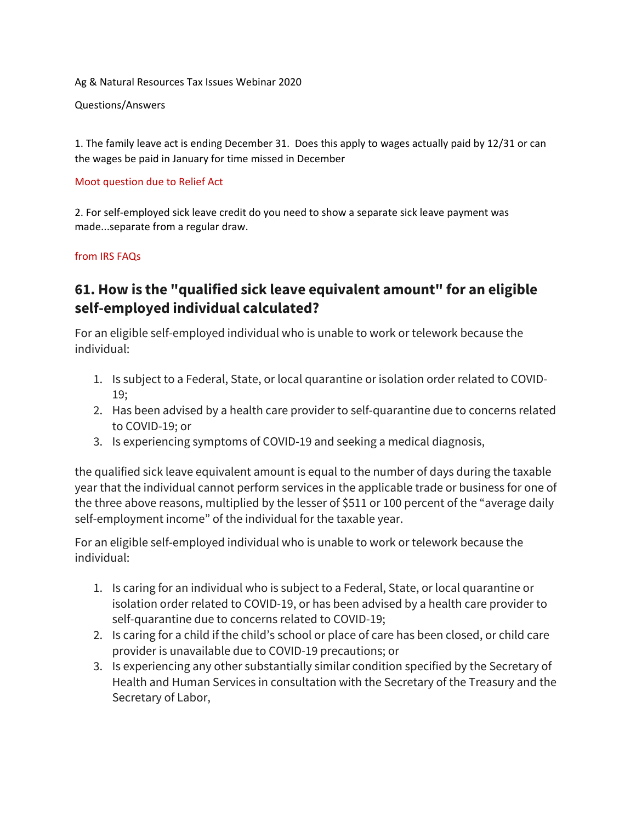Ag & Natural Resources Tax Issues Webinar 2020

Questions/Answers

1. The family leave act is ending December 31. Does this apply to wages actually paid by 12/31 or can the wages be paid in January for time missed in December

## Moot question due to Relief Act

2. For self-employed sick leave credit do you need to show a separate sick leave payment was made...separate from a regular draw.

## from IRS FAQs

## **61. How is the "qualified sick leave equivalent amount" for an eligible self-employed individual calculated?**

For an eligible self-employed individual who is unable to work or telework because the individual:

- 1. Is subject to a Federal, State, or local quarantine or isolation order related to COVID-19;
- 2. Has been advised by a health care provider to self-quarantine due to concerns related to COVID-19; or
- 3. Is experiencing symptoms of COVID-19 and seeking a medical diagnosis,

the qualified sick leave equivalent amount is equal to the number of days during the taxable year that the individual cannot perform services in the applicable trade or business for one of the three above reasons, multiplied by the lesser of \$511 or 100 percent of the "average daily self-employment income" of the individual for the taxable year.

For an eligible self-employed individual who is unable to work or telework because the individual:

- 1. Is caring for an individual who is subject to a Federal, State, or local quarantine or isolation order related to COVID-19, or has been advised by a health care provider to self-quarantine due to concerns related to COVID-19;
- 2. Is caring for a child if the child's school or place of care has been closed, or child care provider is unavailable due to COVID-19 precautions; or
- 3. Is experiencing any other substantially similar condition specified by the Secretary of Health and Human Services in consultation with the Secretary of the Treasury and the Secretary of Labor,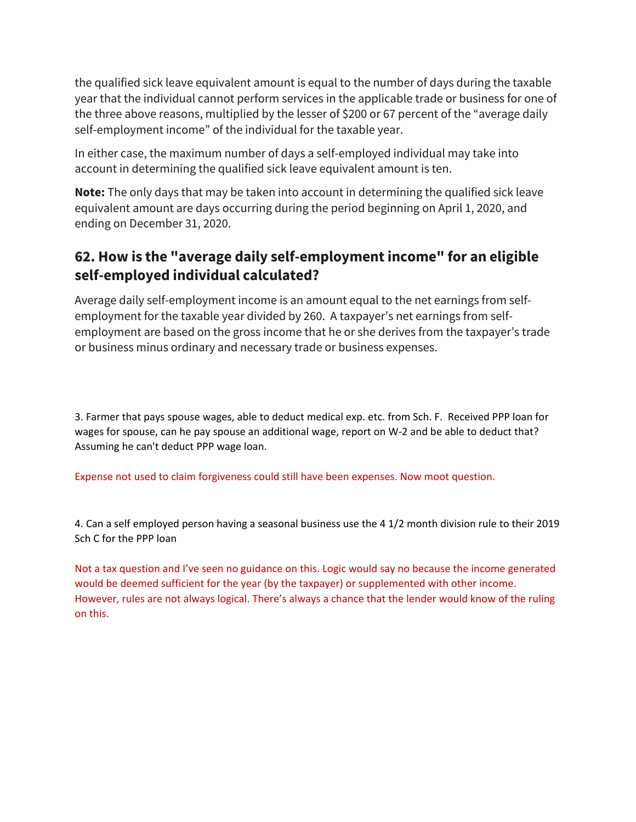the qualified sick leave equivalent amount is equal to the number of days during the taxable year that the individual cannot perform services in the applicable trade or business for one of the three above reasons, multiplied by the lesser of \$200 or 67 percent of the "average daily self-employment income" of the individual for the taxable year.

In either case, the maximum number of days a self-employed individual may take into account in determining the qualified sick leave equivalent amount is ten.

**Note:** The only days that may be taken into account in determining the qualified sick leave equivalent amount are days occurring during the period beginning on April 1, 2020, and ending on December 31, 2020.

## **62. How is the "average daily self-employment income" for an eligible self-employed individual calculated?**

Average daily self-employment income is an amount equal to the net earnings from selfemployment for the taxable year divided by 260. A taxpayer's net earnings from selfemployment are based on the gross income that he or she derives from the taxpayer's trade or business minus ordinary and necessary trade or business expenses.

3. Farmer that pays spouse wages, able to deduct medical exp. etc. from Sch. F. Received PPP loan for wages for spouse, can he pay spouse an additional wage, report on W-2 and be able to deduct that? Assuming he can't deduct PPP wage loan.

Expense not used to claim forgiveness could still have been expenses. Now moot question.

4. Can a self employed person having a seasonal business use the 4 1/2 month division rule to their 2019 Sch C for the PPP loan

Not a tax question and I've seen no guidance on this. Logic would say no because the income generated would be deemed sufficient for the year (by the taxpayer) or supplemented with other income. However, rules are not always logical. There's always a chance that the lender would know of the ruling on this.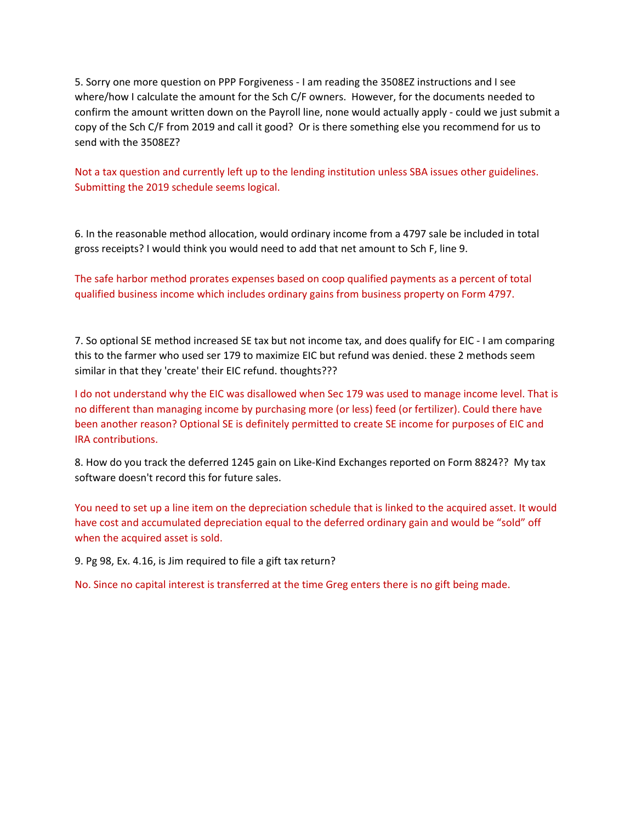5. Sorry one more question on PPP Forgiveness - I am reading the 3508EZ instructions and I see where/how I calculate the amount for the Sch C/F owners. However, for the documents needed to confirm the amount written down on the Payroll line, none would actually apply - could we just submit a copy of the Sch C/F from 2019 and call it good? Or is there something else you recommend for us to send with the 3508EZ?

Not a tax question and currently left up to the lending institution unless SBA issues other guidelines. Submitting the 2019 schedule seems logical.

6. In the reasonable method allocation, would ordinary income from a 4797 sale be included in total gross receipts? I would think you would need to add that net amount to Sch F, line 9.

The safe harbor method prorates expenses based on coop qualified payments as a percent of total qualified business income which includes ordinary gains from business property on Form 4797.

7. So optional SE method increased SE tax but not income tax, and does qualify for EIC - I am comparing this to the farmer who used ser 179 to maximize EIC but refund was denied. these 2 methods seem similar in that they 'create' their EIC refund. thoughts???

I do not understand why the EIC was disallowed when Sec 179 was used to manage income level. That is no different than managing income by purchasing more (or less) feed (or fertilizer). Could there have been another reason? Optional SE is definitely permitted to create SE income for purposes of EIC and IRA contributions.

8. How do you track the deferred 1245 gain on Like-Kind Exchanges reported on Form 8824?? My tax software doesn't record this for future sales.

You need to set up a line item on the depreciation schedule that is linked to the acquired asset. It would have cost and accumulated depreciation equal to the deferred ordinary gain and would be "sold" off when the acquired asset is sold.

9. Pg 98, Ex. 4.16, is Jim required to file a gift tax return?

No. Since no capital interest is transferred at the time Greg enters there is no gift being made.